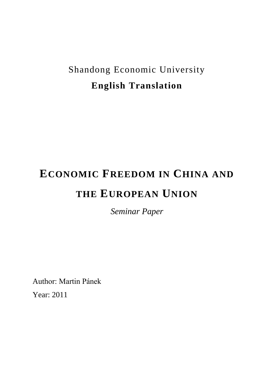# Shandong Economic University **English Translation**

# **ECONOMIC FREEDOM IN CHINA AND THE EUROPEAN UNION**

*Seminar Paper*

Author: Martin Pánek

Year: 2011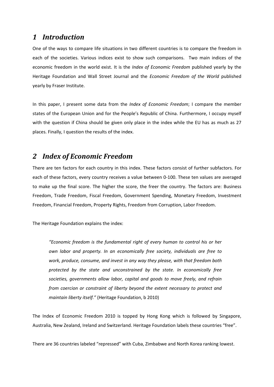### *1 Introduction*

One of the ways to compare life situations in two different countries is to compare the freedom in each of the societies. Various indices exist to show such comparisons. Two main indices of the economic freedom in the world exist. It is the *Index of Economic Freedom* published yearly by the Heritage Foundation and Wall Street Journal and the *Economic Freedom of the World* published yearly by Fraser Institute.

In this paper, I present some data from the *Index of Economic Freedom*; I compare the member states of the European Union and for the People's Republic of China. Furthermore, I occupy myself with the question if China should be given only place in the index while the EU has as much as 27 places. Finally, I question the results of the index.

# *2 Index of Economic Freedom*

There are ten factors for each country in this index. These factors consist of further subfactors. For each of these factors, every country receives a value between 0-100. These ten values are averaged to make up the final score. The higher the score, the freer the country. The factors are: Business Freedom, Trade Freedom, Fiscal Freedom, Government Spending, Monetary Freedom, Investment Freedom, Financial Freedom, Property Rights, Freedom from Corruption, Labor Freedom.

The Heritage Foundation explains the index:

*"Economic freedom is the fundamental right of every human to control his or her own labor and property. In an economically free society, individuals are free to work, produce, consume, and invest in any way they please, with that freedom both protected by the state and unconstrained by the state. In economically free societies, governments allow labor, capital and goods to move freely, and refrain from coercion or constraint of liberty beyond the extent necessary to protect and maintain liberty itself."* (Heritage Foundation, b 2010)

The Index of Economic Freedom 2010 is topped by Hong Kong which is followed by Singapore, Australia, New Zealand, Ireland and Switzerland. Heritage Foundation labels these countries "free".

There are 36 countries labeled "repressed" with Cuba, Zimbabwe and North Korea ranking lowest.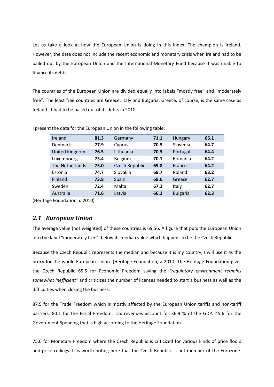Let us take a look at how the European Union is doing in this index. The champion is Ireland. However, the data does not include the recent economic and monetary crisis when Ireland had to be bailed out by the European Union and the International Monetary Fund because it was unable to finance its debts.

The countries of the European Union are divided equally into labels "mostly free" and "moderately free". The least free countries are Greece, Italy and Bulgaria. Greece, of course, is the same case as Ireland. It had to be bailed out of its debts in 2010.

| Ireland               | 81.3 | Germany        | 71.1 | Hungary         | 66.1 |
|-----------------------|------|----------------|------|-----------------|------|
| Denmark               | 77.9 | Cyprus         | 70.9 | Slovenia        | 64.7 |
| <b>United Kingdom</b> | 76.5 | Lithuania      | 70.3 | Portugal        | 64.4 |
| Luxembourg            | 75.4 | Belgium        | 70.1 | Romania         | 64.2 |
| The Netherlands       | 75.0 | Czech Republic | 69.8 | France          | 64.2 |
| Estonia               | 74.7 | Slovakia       | 69.7 | Poland          | 63.2 |
| Finland               | 73.8 | Spain          | 69.6 | Greece          | 62.7 |
| Sweden                | 72.4 | Malta          | 67.2 | Italy           | 62.7 |
| Australia             | 71.6 | Latvia         | 66.2 | <b>Bulgaria</b> | 62.3 |
|                       |      |                |      |                 |      |

I present the data for the European Union in the following table:

(Heritage Foundation, d 2010)

#### *2.1 European Union*

The average value (not weighted) of these countries is 69.56. A figure that puts the European Union into the label "moderately free", below its median value which happens to be the Czech Republic.

Because the Czech Republic represents the median and because it is my country, I will use it as the proxy for the whole European Union. (Heritage Foundation, a 2010) The Heritage Foundation gives the Czech Republic 65.5 for Economic Freedom saying the *"regulatory environment remains somewhat inefficient"* and criticizes the number of licenses needed to start a business as well as the difficulties when closing the business.

87.5 for the Trade Freedom which is mostly affected by the European Union tariffs and non-tariff barriers. 80.1 for the Fiscal Freedom. Tax revenues account for 36.9 % of the GDP. 45.6 for the Government Spending that is high according to the Heritage Foundation.

75.6 for Monetary Freedom where the Czech Republic is criticized for various kinds of price floors and price ceilings. It is worth noting here that the Czech Republic is not member of the Eurozone.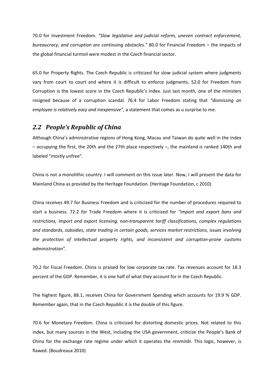70.0 for Investment Freedom. *"Slow legislative and judicial reform, uneven contract enforcement, bureaucracy, and corruption are continuing obstacles."* 80.0 for Financial Freedom – the impacts of the global financial turmoil were modest in the Czech financial sector.

65.0 for Property Rights. The Czech Republic is criticized for slow judicial system where judgments vary from court to court and where it is difficult to enforce judgments. 52.0 for Freedom from Corruption is the lowest score in the Czech Republic's index. Just last month, one of the ministers resigned because of a corruption scandal. 76.4 for Labor Freedom stating that *"dismissing an employee is relatively easy and inexpensive",* a statement that comes as u surprise to me.

#### *2.2 People's Republic of China*

Although China's administrative regions of Hong Kong, Macau and Taiwan do quite well in the index – occupying the first, the 20th and the 27th place respectively –, the mainland is ranked 140th and labeled "mostly unfree".

China is not a monolithic country. I will comment on this issue later. Now, I will present the data for Mainland China as provided by the Heritage Foundation. (Heritage Foundation, c 2010)

China receives 49.7 for Business Freedom and is criticized for the number of procedures required to start a business. 72.2 for Trade Freedom where it is criticized for *"import and export bans and restrictions, import and export licensing, non-transparent tariff classifications, complex regulations and standards, subsidies, state trading in certain goods, services market restrictions, issues involving the protection of intellectual property rights, and inconsistent and corruption-prone customs administration".*

70.2 for Fiscal Freedom. China is praised for low corporate tax rate. Tax revenues account for 18.3 percent of the GDP. Remember, it is one half of what they account for in the Czech Republic.

The highest figure, 88.1, receives China for Government Spending which accounts for 19.9 % GDP. Remember again, that in the Czech Republic it is the double of this figure.

70.6 for Monetary Freedom. China is criticized for distorting domestic prices. Not related to this index, but many sources in the West, including the USA government, criticize the People's Bank of China for the exchange rate regime under which it operates the *renminbi*. This logic, however, is flawed. (Boudreaux 2010)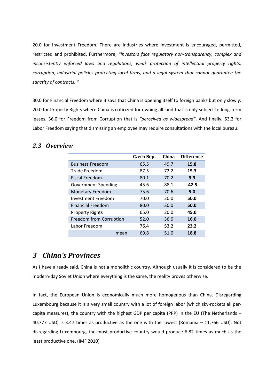20.0 for Investment Freedom. There are industries where investment is encouraged, permitted, restricted and prohibited. Furthermore, *"investors face regulatory non-transparency, complex and inconsistently enforced laws and regulations, weak protection of intellectual property rights, corruption, industrial policies protecting local firms, and a legal system that cannot guarantee the sanctity of contracts. "*

30.0 for Financial Freedom where it says that China is opening itself to foreign banks but only slowly. 20.0 for Property Rights where China is criticized for owning all land that is only subject to long-term leases. 36.0 for Freedom from Corruption that is *"perceived as widespread"*. And finally, 53.2 for Labor Freedom saying that dismissing an employee may require consultations with the local bureau.

|                            | Czech Rep. | China | <b>Difference</b> |
|----------------------------|------------|-------|-------------------|
| <b>Business Freedom</b>    | 65.5       | 49.7  | 15.8              |
| Trade Freedom              | 87.5       | 72.2  | 15.3              |
| <b>Fiscal Freedom</b>      | 80.1       | 70.2  | 9.9               |
| <b>Government Spending</b> | 45.6       | 88.1  | $-42.5$           |
| <b>Monetary Freedom</b>    | 75.6       | 70.6  | 5.0               |
| Investment Freedom         | 70.0       | 20.0  | 50.0              |
| <b>Financial Freedom</b>   | 80.0       | 30.0  | 50.0              |
| <b>Property Rights</b>     | 65.0       | 20.0  | 45.0              |
| Freedom from Corruption    | 52.0       | 36.0  | 16.0              |
| Labor Freedom              | 76.4       | 53.2  | 23.2              |
| mean                       | 69.8       | 51.0  | 18.8              |

#### *2.3 Overview*

## *3 China's Provinces*

As I have already said, China is not a monolithic country. Although usually it is considered to be the modern-day Soviet Union where everything is the same, the reality proves otherwise.

In fact, the European Union is economically much more homogenous than China. Disregarding Luxembourg because it is a very small country with a lot of foreign labor (which sky-rockets all percapita measures), the country with the highest GDP per capita (PPP) in the EU (The Netherlands – 40,777 USD) is 3.47 times as productive as the one with the lowest (Romania – 11,766 USD). Not disregarding Luxembourg, the most productive country would produce 6.82 times as much as the least productive one. (IMF 2010)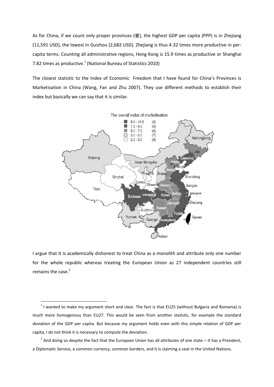As for China, if we count only proper provinces (省), the highest GDP per capita (PPP) is in Zhejiang (11,591 USD), the lowest in Guizhou (2,682 USD). Zhejiang is thus 4.32 times more productive in percapita terms. Counting all administrative regions, Hong Kong is 15.9 times as productive or Shanghai 7.82 times as productive. $^{1}$  (National Bureau of Statistics 2010)

The closest statistic to the Index of Economic Freedom that I have found for China's Provinces is Marketisation in China (Wang, Fan and Zhu 2007). They use different methods to establish their index but basically we can say that it is similar.



I argue that it is academically dishonest to treat China as a monolith and attribute only one number for the whole republic whereas treating the European Union as 27 independent countries still remains the case.<sup>2</sup>

1

 $<sup>1</sup>$  I wanted to make my argument short and clear. The fact is that EU25 (without Bulgaria and Romania) is</sup> much more homogenous than EU27. This would be seen from another statistic, for example the standard deviation of the GDP per capita. But because my argument holds even with this simple relation of GDP per capita, I do not think it is necessary to compute the deviation.

 $^2$  And doing so despite the fact that the European Union has all attributes of one state – it has a President, a Diplomatic Service, a common currency, common borders, and it is claiming a seat in the United Nations.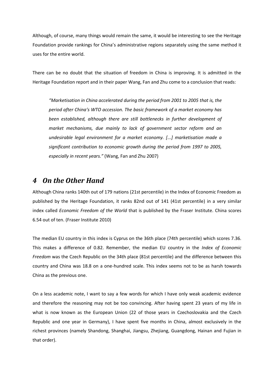Although, of course, many things would remain the same, it would be interesting to see the Heritage Foundation provide rankings for China's administrative regions separately using the same method it uses for the entire world.

There can be no doubt that the situation of freedom in China is improving. It is admitted in the Heritage Foundation report and in their paper Wang, Fan and Zhu come to a conclusion that reads:

*"Marketisation in China accelerated during the period from 2001 to 2005 that is, the period after China's WTO accession. The basic framework of a market economy has been established, although there are still bottlenecks in further development of market mechanisms, due mainly to lack of government sector reform and an undesirable legal environment for a market economy. [...] marketisation made a significant contribution to economic growth during the period from 1997 to 2005, especially in recent years."* (Wang, Fan and Zhu 2007)

#### *4 On the Other Hand*

Although China ranks 140th out of 179 nations (21st percentile) in the Index of Economic Freedom as published by the Heritage Foundation, it ranks 82nd out of 141 (41st percentile) in a very similar index called *Economic Freedom of the World* that is published by the Fraser Institute. China scores 6.54 out of ten. (Fraser Institute 2010)

The median EU country in this index is Cyprus on the 36th place (74th percentile) which scores 7.36. This makes a difference of 0.82. Remember, the median EU country in the *Index of Economic Freedom* was the Czech Republic on the 34th place (81st percentile) and the difference between this country and China was 18.8 on a one-hundred scale. This index seems not to be as harsh towards China as the previous one.

On a less academic note, I want to say a few words for which I have only weak academic evidence and therefore the reasoning may not be too convincing. After having spent 23 years of my life in what is now known as the European Union (22 of those years in Czechoslovakia and the Czech Republic and one year in Germany), I have spent five months in China, almost exclusively in the richest provinces (namely Shandong, Shanghai, Jiangsu, Zhejiang, Guangdong, Hainan and Fujian in that order).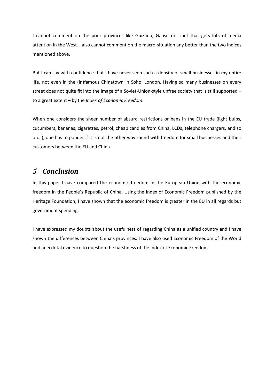I cannot comment on the poor provinces like Guizhou, Gansu or Tibet that gets lots of media attention in the West. I also cannot comment on the macro-situation any better than the two indices mentioned above.

But I can say with confidence that I have never seen such a density of small businesses in my entire life, not even in the (in)famous Chinatown in Soho, London. Having so many businesses on every street does not quite fit into the image of a Soviet-Union-style unfree society that is still supported – to a great extent – by the *Index of Economic Freedom*.

When one considers the sheer number of absurd restrictions or bans in the EU trade (light bulbs, cucumbers, bananas, cigarettes, petrol, cheap candles from China, LCDs, telephone chargers, and so on...), one has to ponder if it is not the other way round with freedom for small businesses and their customers between the EU and China.

# *5 Conclusion*

In this paper I have compared the economic freedom in the European Union with the economic freedom in the People's Republic of China. Using the Index of Economic Freedom published by the Heritage Foundation, I have shown that the economic freedom is greater in the EU in all regards but government spending.

I have expressed my doubts about the usefulness of regarding China as a unified country and I have shown the differences between China's provinces. I have also used Economic Freedom of the World and anecdotal evidence to question the harshness of the Index of Economic Freedom.